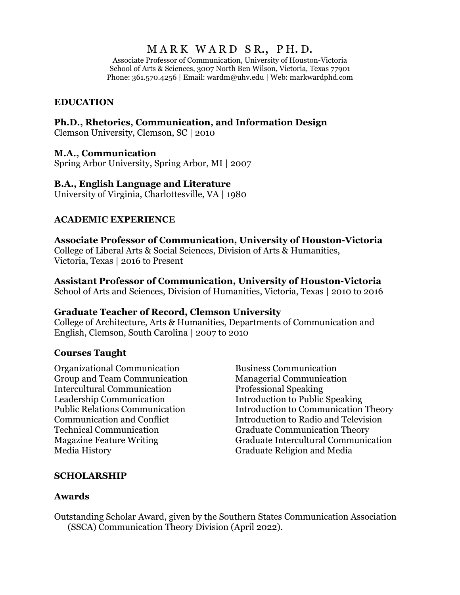# MARK WARD SR., PH.D.

Associate Professor of Communication, University of Houston-Victoria School of Arts & Sciences, 3007 North Ben Wilson, Victoria, Texas 77901 Phone: 361.570.4256 | Email: wardm@uhv.edu | Web: markwardphd.com

#### **EDUCATION**

#### **Ph.D., Rhetorics, Communication, and Information Design**

Clemson University, Clemson, SC | 2010

#### **M.A., Communication**

Spring Arbor University, Spring Arbor, MI | 2007

#### **B.A., English Language and Literature**

University of Virginia, Charlottesville, VA | 1980

#### **ACADEMIC EXPERIENCE**

**Associate Professor of Communication, University of Houston-Victoria** College of Liberal Arts & Social Sciences, Division of Arts & Humanities, Victoria, Texas | 2016 to Present

#### **Assistant Professor of Communication, University of Houston-Victoria**

School of Arts and Sciences, Division of Humanities, Victoria, Texas | 2010 to 2016

#### **Graduate Teacher of Record, Clemson University**

College of Architecture, Arts & Humanities, Departments of Communication and English, Clemson, South Carolina | 2007 to 2010

#### **Courses Taught**

Organizational Communication Group and Team Communication Intercultural Communication Leadership Communication Public Relations Communication Communication and Conflict Technical Communication Magazine Feature Writing Media History

Business Communication Managerial Communication Professional Speaking Introduction to Public Speaking Introduction to Communication Theory Introduction to Radio and Television Graduate Communication Theory Graduate Intercultural Communication Graduate Religion and Media

#### **SCHOLARSHIP**

#### **Awards**

Outstanding Scholar Award, given by the Southern States Communication Association (SSCA) Communication Theory Division (April 2022).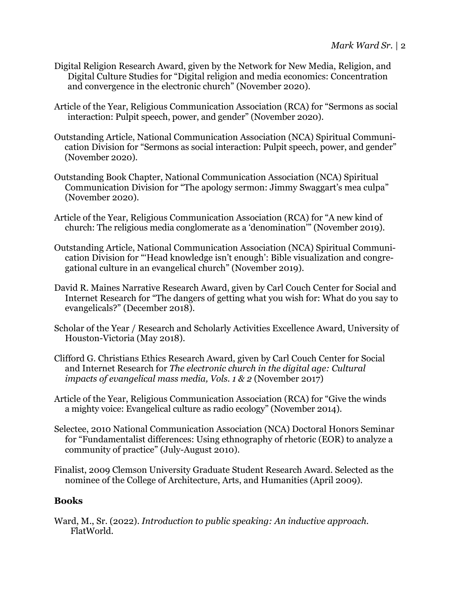- Digital Religion Research Award, given by the Network for New Media, Religion, and Digital Culture Studies for "Digital religion and media economics: Concentration and convergence in the electronic church" (November 2020).
- Article of the Year, Religious Communication Association (RCA) for "Sermons as social interaction: Pulpit speech, power, and gender" (November 2020).
- Outstanding Article, National Communication Association (NCA) Spiritual Communication Division for "Sermons as social interaction: Pulpit speech, power, and gender" (November 2020).
- Outstanding Book Chapter, National Communication Association (NCA) Spiritual Communication Division for "The apology sermon: Jimmy Swaggart's mea culpa" (November 2020).
- Article of the Year, Religious Communication Association (RCA) for "A new kind of church: The religious media conglomerate as a 'denomination'" (November 2019).
- Outstanding Article, National Communication Association (NCA) Spiritual Communication Division for "'Head knowledge isn't enough': Bible visualization and congregational culture in an evangelical church" (November 2019).
- David R. Maines Narrative Research Award, given by Carl Couch Center for Social and Internet Research for "The dangers of getting what you wish for: What do you say to evangelicals?" (December 2018).
- Scholar of the Year / Research and Scholarly Activities Excellence Award, University of Houston-Victoria (May 2018).
- Clifford G. Christians Ethics Research Award, given by Carl Couch Center for Social and Internet Research for *The electronic church in the digital age: Cultural impacts of evangelical mass media, Vols. 1 & 2 (November 2017)*
- Article of the Year, Religious Communication Association (RCA) for "Give the winds a mighty voice: Evangelical culture as radio ecology" (November 2014).
- Selectee, 2010 National Communication Association (NCA) Doctoral Honors Seminar for "Fundamentalist differences: Using ethnography of rhetoric (EOR) to analyze a community of practice" (July-August 2010).
- Finalist, 2009 Clemson University Graduate Student Research Award. Selected as the nominee of the College of Architecture, Arts, and Humanities (April 2009).

### **Books**

Ward, M., Sr. (2022). *Introduction to public speaking: An inductive approach.*  FlatWorld.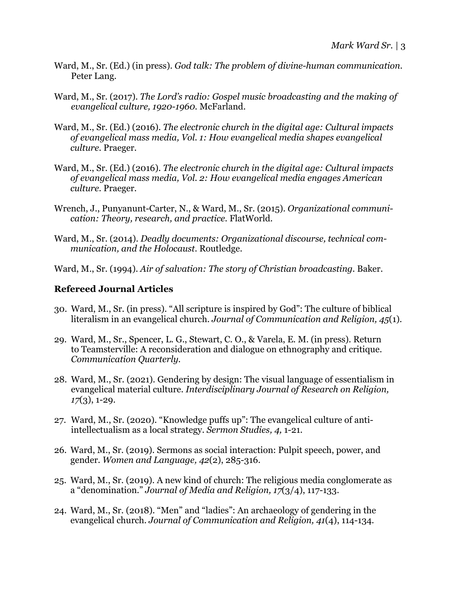- Ward, M., Sr. (Ed.) (in press). *God talk: The problem of divine-human communication.*  Peter Lang.
- Ward, M., Sr. (2017). *The Lord's radio: Gospel music broadcasting and the making of evangelical culture, 1920-1960.* McFarland.
- Ward, M., Sr. (Ed.) (2016). *The electronic church in the digital age: Cultural impacts of evangelical mass media, Vol. 1: How evangelical media shapes evangelical culture.* Praeger.
- Ward, M., Sr. (Ed.) (2016). *The electronic church in the digital age: Cultural impacts of evangelical mass media, Vol. 2: How evangelical media engages American culture.* Praeger.
- Wrench, J., Punyanunt-Carter, N., & Ward, M., Sr. (2015). *Organizational communication: Theory, research, and practice.* FlatWorld.
- Ward, M., Sr. (2014). *Deadly documents: Organizational discourse, technical communication, and the Holocaust.* Routledge.
- Ward, M., Sr. (1994). *Air of salvation: The story of Christian broadcasting.* Baker.

## **Refereed Journal Articles**

- 30. Ward, M., Sr. (in press). "All scripture is inspired by God": The culture of biblical literalism in an evangelical church. *Journal of Communication and Religion, 45*(1)*.*
- 29. Ward, M., Sr., Spencer, L. G., Stewart, C. O., & Varela, E. M. (in press). Return to Teamsterville: A reconsideration and dialogue on ethnography and critique. *Communication Quarterly.*
- 28. Ward, M., Sr. (2021). Gendering by design: The visual language of essentialism in evangelical material culture. *Interdisciplinary Journal of Research on Religion, 17*(3), 1-29.
- 27. Ward, M., Sr. (2020). "Knowledge puffs up": The evangelical culture of antiintellectualism as a local strategy. *Sermon Studies, 4,* 1-21*.*
- 26. Ward, M., Sr. (2019). Sermons as social interaction: Pulpit speech, power, and gender. *Women and Language, 42*(2), 285-316.
- 25. Ward, M., Sr. (2019). A new kind of church: The religious media conglomerate as a "denomination." *Journal of Media and Religion, 17*(3/4), 117-133.
- 24. Ward, M., Sr. (2018). "Men" and "ladies": An archaeology of gendering in the evangelical church. *Journal of Communication and Religion, 41*(4), 114-134*.*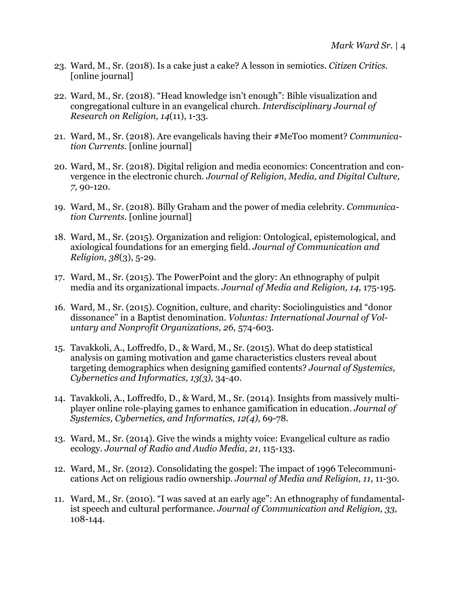- 23. Ward, M., Sr. (2018). Is a cake just a cake? A lesson in semiotics. *Citizen Critics.* [online journal]
- 22. Ward, M., Sr. (2018). "Head knowledge isn't enough": Bible visualization and congregational culture in an evangelical church. *Interdisciplinary Journal of Research on Religion, 14*(11), 1-33*.*
- 21. Ward, M., Sr. (2018). Are evangelicals having their #MeToo moment? *Communication Currents.* [online journal]
- 20. Ward, M., Sr. (2018). Digital religion and media economics: Concentration and convergence in the electronic church. *Journal of Religion, Media, and Digital Culture, 7,* 90-120*.*
- 19. Ward, M., Sr. (2018). Billy Graham and the power of media celebrity. *Communication Currents.* [online journal]
- 18. Ward, M., Sr. (2015). Organization and religion: Ontological, epistemological, and axiological foundations for an emerging field. *Journal of Communication and Religion, 38*(3), 5-29.
- 17. Ward, M., Sr. (2015). The PowerPoint and the glory: An ethnography of pulpit media and its organizational impacts. *Journal of Media and Religion, 14,* 175-195*.*
- 16. Ward, M., Sr. (2015). Cognition, culture, and charity: Sociolinguistics and "donor dissonance" in a Baptist denomination. *Voluntas: International Journal of Voluntary and Nonprofit Organizations, 26,* 574-603.
- 15. Tavakkoli, A., Loffredfo, D., & Ward, M., Sr. (2015). What do deep statistical analysis on gaming motivation and game characteristics clusters reveal about targeting demographics when designing gamified contents? *Journal of Systemics, Cybernetics and Informatics, 13(3),* 34-40.
- 14. Tavakkoli, A., Loffredfo, D., & Ward, M., Sr. (2014). Insights from massively multiplayer online role-playing games to enhance gamification in education. *Journal of Systemics, Cybernetics, and Informatics, 12(4),* 69-78*.*
- 13. Ward, M., Sr. (2014). Give the winds a mighty voice: Evangelical culture as radio ecology. *Journal of Radio and Audio Media, 21,* 115-133*.*
- 12. Ward, M., Sr. (2012). Consolidating the gospel: The impact of 1996 Telecommunications Act on religious radio ownership. *Journal of Media and Religion, 11,* 11-30*.*
- 11. Ward, M., Sr. (2010). "I was saved at an early age": An ethnography of fundamentalist speech and cultural performance. *Journal of Communication and Religion, 33,*  108-144.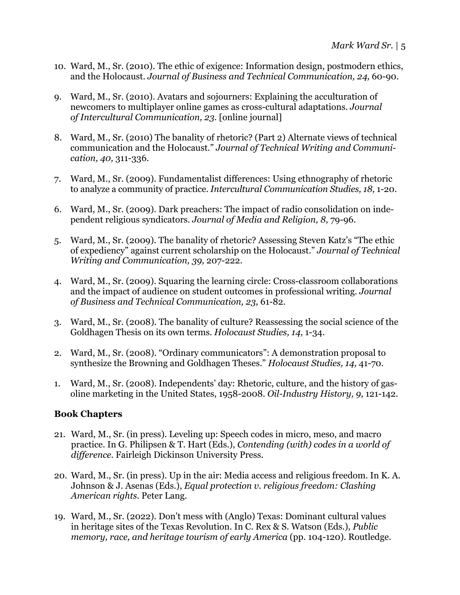- 10. Ward, M., Sr. (2010). The ethic of exigence: Information design, postmodern ethics, and the Holocaust. *Journal of Business and Technical Communication, 24,* 60-90.
- 9. Ward, M., Sr. (2010). Avatars and sojourners: Explaining the acculturation of newcomers to multiplayer online games as cross-cultural adaptations. *Journal of Intercultural Communication, 23.* [online journal]
- 8. Ward, M., Sr. (2010) The banality of rhetoric? (Part 2) Alternate views of technical communication and the Holocaust." *Journal of Technical Writing and Communication, 40,* 311-336.
- 7. Ward, M., Sr. (2009). Fundamentalist differences: Using ethnography of rhetoric to analyze a community of practice. *Intercultural Communication Studies, 18,* 1-20.
- 6. Ward, M., Sr. (2009). Dark preachers: The impact of radio consolidation on independent religious syndicators. *Journal of Media and Religion, 8,* 79-96.
- 5. Ward, M., Sr. (2009). The banality of rhetoric? Assessing Steven Katz's "The ethic of expediency" against current scholarship on the Holocaust." *Journal of Technical Writing and Communication, 39,* 207-222.
- 4. Ward, M., Sr. (2009). Squaring the learning circle: Cross-classroom collaborations and the impact of audience on student outcomes in professional writing. *Journal of Business and Technical Communication, 23,* 61-82.
- 3. Ward, M., Sr. (2008). The banality of culture? Reassessing the social science of the Goldhagen Thesis on its own terms. *Holocaust Studies, 14,* 1-34.
- 2. Ward, M., Sr. (2008). "Ordinary communicators": A demonstration proposal to synthesize the Browning and Goldhagen Theses." *Holocaust Studies, 14,* 41-70.
- 1. Ward, M., Sr. (2008). Independents' day: Rhetoric, culture, and the history of gasoline marketing in the United States, 1958-2008. *Oil-Industry History, 9,* 121-142.

### **Book Chapters**

- 21. Ward, M., Sr. (in press). Leveling up: Speech codes in micro, meso, and macro practice. In G. Philipsen & T. Hart (Eds.), *Contending (with) codes in a world of difference.* Fairleigh Dickinson University Press.
- 20. Ward, M., Sr. (in press). Up in the air: Media access and religious freedom. In K. A. Johnson & J. Asenas (Eds.), *Equal protection v. religious freedom: Clashing American rights.* Peter Lang.
- 19. Ward, M., Sr. (2022). Don't mess with (Anglo) Texas: Dominant cultural values in heritage sites of the Texas Revolution. In C. Rex & S. Watson (Eds.), *Public memory, race, and heritage tourism of early America* (pp. 104-120). Routledge.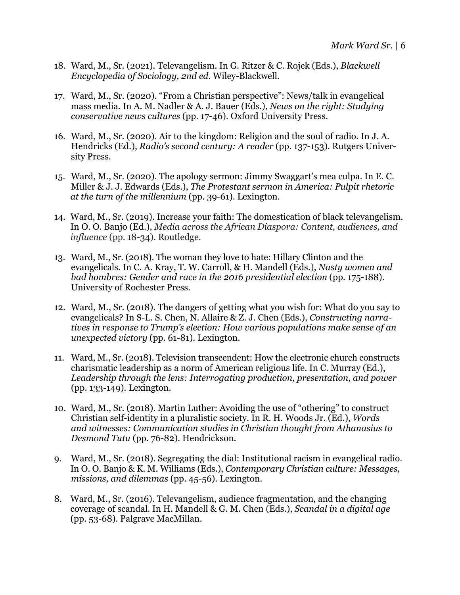- 18. Ward, M., Sr. (2021). Televangelism. In G. Ritzer & C. Rojek (Eds.), *Blackwell Encyclopedia of Sociology, 2nd ed.* Wiley-Blackwell.
- 17. Ward, M., Sr. (2020). "From a Christian perspective": News/talk in evangelical mass media. In A. M. Nadler & A. J. Bauer (Eds.), *News on the right: Studying conservative news cultures* (pp. 17-46). Oxford University Press.
- 16. Ward, M., Sr. (2020). Air to the kingdom: Religion and the soul of radio. In J. A. Hendricks (Ed.), *Radio's second century: A reader* (pp. 137-153). Rutgers University Press.
- 15. Ward, M., Sr. (2020). The apology sermon: Jimmy Swaggart's mea culpa. In E. C. Miller & J. J. Edwards (Eds.), *The Protestant sermon in America: Pulpit rhetoric at the turn of the millennium* (pp. 39-61). Lexington.
- 14. Ward, M., Sr. (2019). Increase your faith: The domestication of black televangelism. In O. O. Banjo (Ed.), *Media across the African Diaspora: Content, audiences, and influence* (pp. 18-34). Routledge.
- 13. Ward, M., Sr. (2018). The woman they love to hate: Hillary Clinton and the evangelicals. In C. A. Kray, T. W. Carroll, & H. Mandell (Eds.), *Nasty women and bad hombres: Gender and race in the 2016 presidential election (pp. 175-188).* University of Rochester Press.
- 12. Ward, M., Sr. (2018). The dangers of getting what you wish for: What do you say to evangelicals? In S-L. S. Chen, N. Allaire & Z. J. Chen (Eds.), *Constructing narratives in response to Trump's election: How various populations make sense of an unexpected victory* (pp. 61-81)*.* Lexington.
- 11. Ward, M., Sr. (2018). Television transcendent: How the electronic church constructs charismatic leadership as a norm of American religious life. In C. Murray (Ed.), *Leadership through the lens: Interrogating production, presentation, and power*  (pp. 133-149)*.* Lexington.
- 10. Ward, M., Sr. (2018). Martin Luther: Avoiding the use of "othering" to construct Christian self-identity in a pluralistic society. In R. H. Woods Jr. (Ed.), *Words and witnesses: Communication studies in Christian thought from Athanasius to Desmond Tutu* (pp. 76-82). Hendrickson.
- 9. Ward, M., Sr. (2018). Segregating the dial: Institutional racism in evangelical radio. In O. O. Banjo & K. M. Williams (Eds.), *Contemporary Christian culture: Messages, missions, and dilemmas* (pp. 45-56)*.* Lexington.
- 8. Ward, M., Sr. (2016). Televangelism, audience fragmentation, and the changing coverage of scandal. In H. Mandell & G. M. Chen (Eds.), *Scandal in a digital age*  (pp. 53-68). Palgrave MacMillan.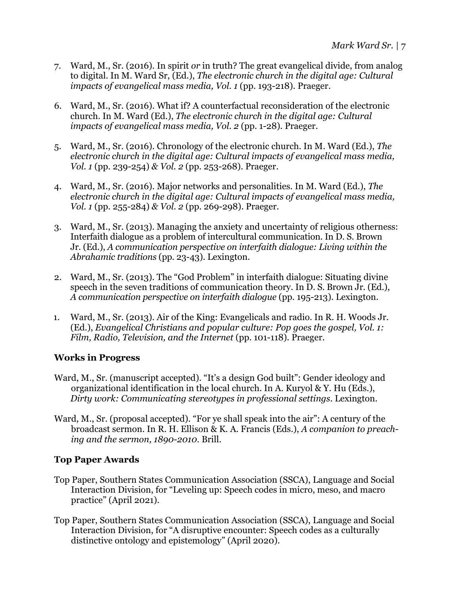- 7. Ward, M., Sr. (2016). In spirit *or* in truth? The great evangelical divide, from analog to digital. In M. Ward Sr, (Ed.), *The electronic church in the digital age: Cultural impacts of evangelical mass media, Vol. 1* (pp. 193-218). Praeger.
- 6. Ward, M., Sr. (2016). What if? A counterfactual reconsideration of the electronic church. In M. Ward (Ed.), *The electronic church in the digital age: Cultural impacts of evangelical mass media, Vol. 2* (pp. 1-28)*.* Praeger.
- 5. Ward, M., Sr. (2016). Chronology of the electronic church. In M. Ward (Ed.), *The electronic church in the digital age: Cultural impacts of evangelical mass media, Vol. 1* (pp. 239-254) *& Vol. 2* (pp. 253-268). Praeger.
- 4. Ward, M., Sr. (2016). Major networks and personalities. In M. Ward (Ed.), *The electronic church in the digital age: Cultural impacts of evangelical mass media, Vol. 1* (pp. 255-284) *& Vol. 2* (pp. 269-298). Praeger.
- 3. Ward, M., Sr. (2013). Managing the anxiety and uncertainty of religious otherness: Interfaith dialogue as a problem of intercultural communication. In D. S. Brown Jr. (Ed.), *A communication perspective on interfaith dialogue: Living within the Abrahamic traditions* (pp. 23-43). Lexington.
- 2. Ward, M., Sr. (2013). The "God Problem" in interfaith dialogue: Situating divine speech in the seven traditions of communication theory. In D. S. Brown Jr. (Ed.), *A communication perspective on interfaith dialogue* (pp. 195-213). Lexington.
- 1. Ward, M., Sr. (2013). Air of the King: Evangelicals and radio. In R. H. Woods Jr. (Ed.), *Evangelical Christians and popular culture: Pop goes the gospel, Vol. 1: Film, Radio, Television, and the Internet* (pp. 101-118)*.* Praeger.

### **Works in Progress**

- Ward, M., Sr. (manuscript accepted). "It's a design God built": Gender ideology and organizational identification in the local church. In A. Kuryol & Y. Hu (Eds.), *Dirty work: Communicating stereotypes in professional settings.* Lexington.
- Ward, M., Sr. (proposal accepted). "For ye shall speak into the air": A century of the broadcast sermon. In R. H. Ellison & K. A. Francis (Eds.), *A companion to preaching and the sermon, 1890-2010.* Brill.

### **Top Paper Awards**

- Top Paper, Southern States Communication Association (SSCA), Language and Social Interaction Division, for "Leveling up: Speech codes in micro, meso, and macro practice" (April 2021).
- Top Paper, Southern States Communication Association (SSCA), Language and Social Interaction Division, for "A disruptive encounter: Speech codes as a culturally distinctive ontology and epistemology" (April 2020).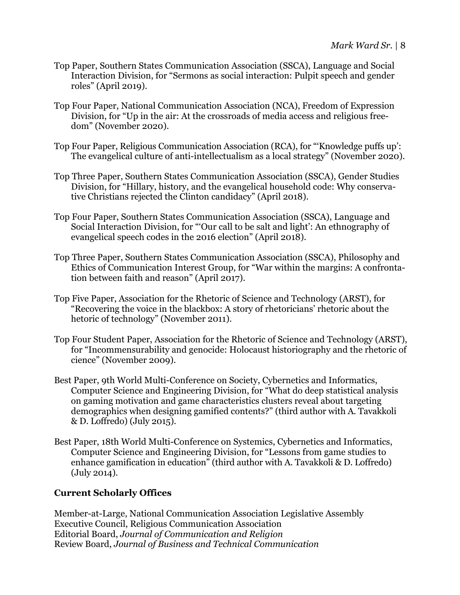- Top Paper, Southern States Communication Association (SSCA), Language and Social Interaction Division, for "Sermons as social interaction: Pulpit speech and gender roles" (April 2019).
- Top Four Paper, National Communication Association (NCA), Freedom of Expression Division, for "Up in the air: At the crossroads of media access and religious freedom" (November 2020).
- Top Four Paper, Religious Communication Association (RCA), for "'Knowledge puffs up': The evangelical culture of anti-intellectualism as a local strategy" (November 2020).
- Top Three Paper, Southern States Communication Association (SSCA), Gender Studies Division, for "Hillary, history, and the evangelical household code: Why conservative Christians rejected the Clinton candidacy" (April 2018).
- Top Four Paper, Southern States Communication Association (SSCA), Language and Social Interaction Division, for "'Our call to be salt and light': An ethnography of evangelical speech codes in the 2016 election" (April 2018).
- Top Three Paper, Southern States Communication Association (SSCA), Philosophy and Ethics of Communication Interest Group, for "War within the margins: A confrontation between faith and reason" (April 2017).
- Top Five Paper, Association for the Rhetoric of Science and Technology (ARST), for "Recovering the voice in the blackbox: A story of rhetoricians' rhetoric about the hetoric of technology" (November 2011).
- Top Four Student Paper, Association for the Rhetoric of Science and Technology (ARST), for "Incommensurability and genocide: Holocaust historiography and the rhetoric of cience" (November 2009).
- Best Paper, 9th World Multi-Conference on Society, Cybernetics and Informatics, Computer Science and Engineering Division, for "What do deep statistical analysis on gaming motivation and game characteristics clusters reveal about targeting demographics when designing gamified contents?" (third author with A. Tavakkoli & D. Loffredo) (July 2015).
- Best Paper, 18th World Multi-Conference on Systemics, Cybernetics and Informatics, Computer Science and Engineering Division, for "Lessons from game studies to enhance gamification in education" (third author with A. Tavakkoli & D. Loffredo) (July 2014).

## **Current Scholarly Offices**

Member-at-Large, National Communication Association Legislative Assembly Executive Council, Religious Communication Association Editorial Board, *Journal of Communication and Religion* Review Board, *Journal of Business and Technical Communication*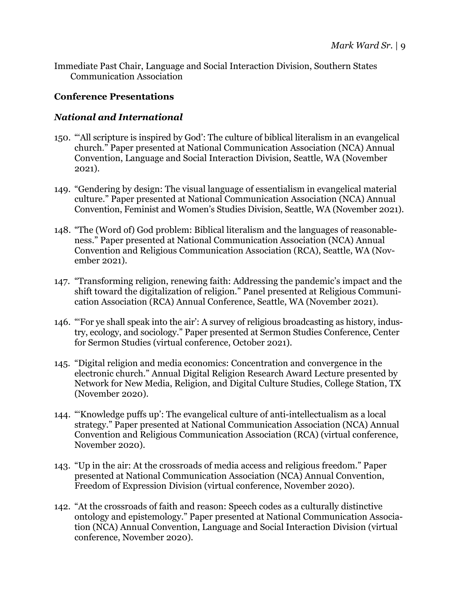Immediate Past Chair, Language and Social Interaction Division, Southern States Communication Association

#### **Conference Presentations**

#### *National and International*

- 150. "'All scripture is inspired by God': The culture of biblical literalism in an evangelical church." Paper presented at National Communication Association (NCA) Annual Convention, Language and Social Interaction Division, Seattle, WA (November 2021).
- 149. "Gendering by design: The visual language of essentialism in evangelical material culture." Paper presented at National Communication Association (NCA) Annual Convention, Feminist and Women's Studies Division, Seattle, WA (November 2021).
- 148. "The (Word of) God problem: Biblical literalism and the languages of reasonableness." Paper presented at National Communication Association (NCA) Annual Convention and Religious Communication Association (RCA), Seattle, WA (November 2021).
- 147. "Transforming religion, renewing faith: Addressing the pandemic's impact and the shift toward the digitalization of religion." Panel presented at Religious Communication Association (RCA) Annual Conference, Seattle, WA (November 2021).
- 146. "'For ye shall speak into the air': A survey of religious broadcasting as history, industry, ecology, and sociology." Paper presented at Sermon Studies Conference, Center for Sermon Studies (virtual conference, October 2021).
- 145. "Digital religion and media economics: Concentration and convergence in the electronic church." Annual Digital Religion Research Award Lecture presented by Network for New Media, Religion, and Digital Culture Studies, College Station, TX (November 2020).
- 144. "'Knowledge puffs up': The evangelical culture of anti-intellectualism as a local strategy." Paper presented at National Communication Association (NCA) Annual Convention and Religious Communication Association (RCA) (virtual conference, November 2020).
- 143. "Up in the air: At the crossroads of media access and religious freedom." Paper presented at National Communication Association (NCA) Annual Convention, Freedom of Expression Division (virtual conference, November 2020).
- 142. "At the crossroads of faith and reason: Speech codes as a culturally distinctive ontology and epistemology." Paper presented at National Communication Association (NCA) Annual Convention, Language and Social Interaction Division (virtual conference, November 2020).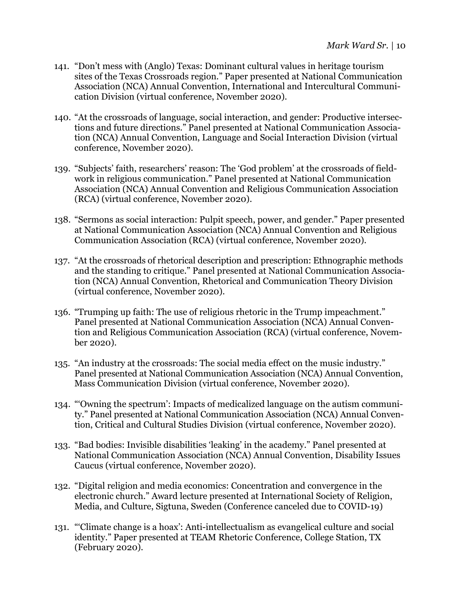- 141. "Don't mess with (Anglo) Texas: Dominant cultural values in heritage tourism sites of the Texas Crossroads region." Paper presented at National Communication Association (NCA) Annual Convention, International and Intercultural Communication Division (virtual conference, November 2020).
- 140. "At the crossroads of language, social interaction, and gender: Productive intersections and future directions." Panel presented at National Communication Association (NCA) Annual Convention, Language and Social Interaction Division (virtual conference, November 2020).
- 139. "Subjects' faith, researchers' reason: The 'God problem' at the crossroads of fieldwork in religious communication." Panel presented at National Communication Association (NCA) Annual Convention and Religious Communication Association (RCA) (virtual conference, November 2020).
- 138. "Sermons as social interaction: Pulpit speech, power, and gender." Paper presented at National Communication Association (NCA) Annual Convention and Religious Communication Association (RCA) (virtual conference, November 2020).
- 137. "At the crossroads of rhetorical description and prescription: Ethnographic methods and the standing to critique." Panel presented at National Communication Association (NCA) Annual Convention, Rhetorical and Communication Theory Division (virtual conference, November 2020).
- 136. "Trumping up faith: The use of religious rhetoric in the Trump impeachment." Panel presented at National Communication Association (NCA) Annual Convention and Religious Communication Association (RCA) (virtual conference, November 2020).
- 135. "An industry at the crossroads: The social media effect on the music industry." Panel presented at National Communication Association (NCA) Annual Convention, Mass Communication Division (virtual conference, November 2020).
- 134. "'Owning the spectrum': Impacts of medicalized language on the autism community." Panel presented at National Communication Association (NCA) Annual Convention, Critical and Cultural Studies Division (virtual conference, November 2020).
- 133. "Bad bodies: Invisible disabilities 'leaking' in the academy." Panel presented at National Communication Association (NCA) Annual Convention, Disability Issues Caucus (virtual conference, November 2020).
- 132. "Digital religion and media economics: Concentration and convergence in the electronic church." Award lecture presented at International Society of Religion, Media, and Culture, Sigtuna, Sweden (Conference canceled due to COVID-19)
- 131. "'Climate change is a hoax': Anti-intellectualism as evangelical culture and social identity." Paper presented at TEAM Rhetoric Conference, College Station, TX (February 2020).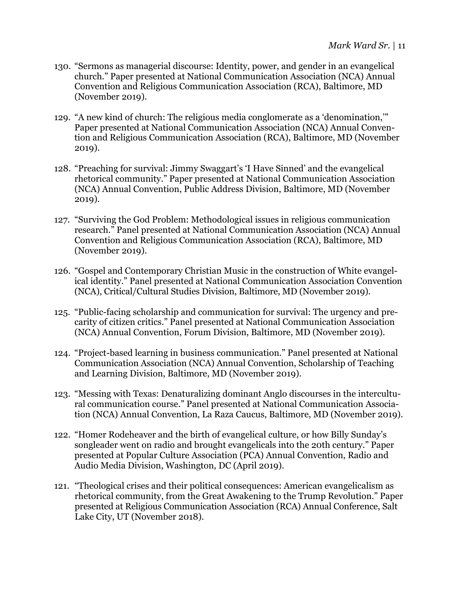- 130. "Sermons as managerial discourse: Identity, power, and gender in an evangelical church." Paper presented at National Communication Association (NCA) Annual Convention and Religious Communication Association (RCA), Baltimore, MD (November 2019).
- 129. "A new kind of church: The religious media conglomerate as a 'denomination,'" Paper presented at National Communication Association (NCA) Annual Convention and Religious Communication Association (RCA), Baltimore, MD (November 2019).
- 128. "Preaching for survival: Jimmy Swaggart's 'I Have Sinned' and the evangelical rhetorical community." Paper presented at National Communication Association (NCA) Annual Convention, Public Address Division, Baltimore, MD (November 2019).
- 127. "Surviving the God Problem: Methodological issues in religious communication research." Panel presented at National Communication Association (NCA) Annual Convention and Religious Communication Association (RCA), Baltimore, MD (November 2019).
- 126. "Gospel and Contemporary Christian Music in the construction of White evangelical identity." Panel presented at National Communication Association Convention (NCA), Critical/Cultural Studies Division, Baltimore, MD (November 2019).
- 125. "Public-facing scholarship and communication for survival: The urgency and precarity of citizen critics." Panel presented at National Communication Association (NCA) Annual Convention, Forum Division, Baltimore, MD (November 2019).
- 124. "Project-based learning in business communication." Panel presented at National Communication Association (NCA) Annual Convention, Scholarship of Teaching and Learning Division, Baltimore, MD (November 2019).
- 123. "Messing with Texas: Denaturalizing dominant Anglo discourses in the intercultural communication course." Panel presented at National Communication Association (NCA) Annual Convention, La Raza Caucus, Baltimore, MD (November 2019).
- 122. "Homer Rodeheaver and the birth of evangelical culture, or how Billy Sunday's songleader went on radio and brought evangelicals into the 20th century." Paper presented at Popular Culture Association (PCA) Annual Convention, Radio and Audio Media Division, Washington, DC (April 2019).
- 121. "Theological crises and their political consequences: American evangelicalism as rhetorical community, from the Great Awakening to the Trump Revolution." Paper presented at Religious Communication Association (RCA) Annual Conference, Salt Lake City, UT (November 2018).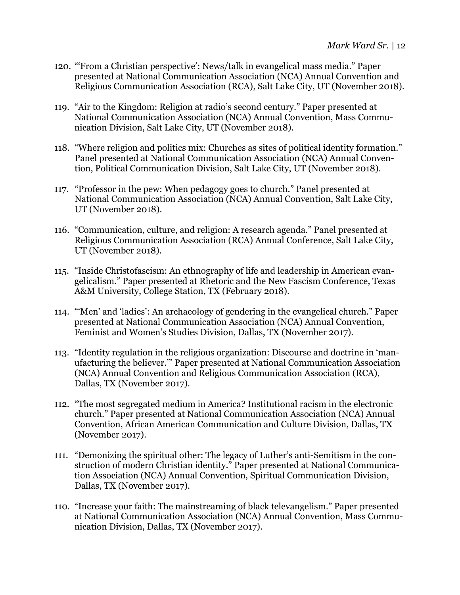- 120. "'From a Christian perspective': News/talk in evangelical mass media." Paper presented at National Communication Association (NCA) Annual Convention and Religious Communication Association (RCA), Salt Lake City, UT (November 2018).
- 119. "Air to the Kingdom: Religion at radio's second century." Paper presented at National Communication Association (NCA) Annual Convention, Mass Communication Division, Salt Lake City, UT (November 2018).
- 118. "Where religion and politics mix: Churches as sites of political identity formation." Panel presented at National Communication Association (NCA) Annual Convention, Political Communication Division, Salt Lake City, UT (November 2018).
- 117. "Professor in the pew: When pedagogy goes to church." Panel presented at National Communication Association (NCA) Annual Convention, Salt Lake City, UT (November 2018).
- 116. "Communication, culture, and religion: A research agenda." Panel presented at Religious Communication Association (RCA) Annual Conference, Salt Lake City, UT (November 2018).
- 115. "Inside Christofascism: An ethnography of life and leadership in American evangelicalism." Paper presented at Rhetoric and the New Fascism Conference, Texas A&M University, College Station, TX (February 2018).
- 114. "'Men' and 'ladies': An archaeology of gendering in the evangelical church." Paper presented at National Communication Association (NCA) Annual Convention, Feminist and Women's Studies Division, Dallas, TX (November 2017).
- 113. "Identity regulation in the religious organization: Discourse and doctrine in 'manufacturing the believer.'" Paper presented at National Communication Association (NCA) Annual Convention and Religious Communication Association (RCA), Dallas, TX (November 2017).
- 112. "The most segregated medium in America? Institutional racism in the electronic church." Paper presented at National Communication Association (NCA) Annual Convention, African American Communication and Culture Division, Dallas, TX (November 2017).
- 111. "Demonizing the spiritual other: The legacy of Luther's anti-Semitism in the construction of modern Christian identity." Paper presented at National Communication Association (NCA) Annual Convention, Spiritual Communication Division, Dallas, TX (November 2017).
- 110. "Increase your faith: The mainstreaming of black televangelism." Paper presented at National Communication Association (NCA) Annual Convention, Mass Communication Division, Dallas, TX (November 2017).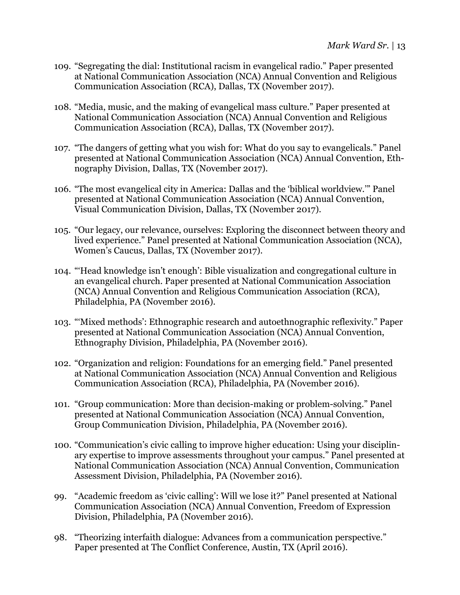- 109. "Segregating the dial: Institutional racism in evangelical radio." Paper presented at National Communication Association (NCA) Annual Convention and Religious Communication Association (RCA), Dallas, TX (November 2017).
- 108. "Media, music, and the making of evangelical mass culture." Paper presented at National Communication Association (NCA) Annual Convention and Religious Communication Association (RCA), Dallas, TX (November 2017).
- 107. "The dangers of getting what you wish for: What do you say to evangelicals." Panel presented at National Communication Association (NCA) Annual Convention, Ethnography Division, Dallas, TX (November 2017).
- 106. "The most evangelical city in America: Dallas and the 'biblical worldview.'" Panel presented at National Communication Association (NCA) Annual Convention, Visual Communication Division, Dallas, TX (November 2017).
- 105. "Our legacy, our relevance, ourselves: Exploring the disconnect between theory and lived experience." Panel presented at National Communication Association (NCA), Women's Caucus, Dallas, TX (November 2017).
- 104. "'Head knowledge isn't enough': Bible visualization and congregational culture in an evangelical church. Paper presented at National Communication Association (NCA) Annual Convention and Religious Communication Association (RCA), Philadelphia, PA (November 2016).
- 103. "'Mixed methods': Ethnographic research and autoethnographic reflexivity." Paper presented at National Communication Association (NCA) Annual Convention, Ethnography Division, Philadelphia, PA (November 2016).
- 102. "Organization and religion: Foundations for an emerging field." Panel presented at National Communication Association (NCA) Annual Convention and Religious Communication Association (RCA), Philadelphia, PA (November 2016).
- 101. "Group communication: More than decision-making or problem-solving." Panel presented at National Communication Association (NCA) Annual Convention, Group Communication Division, Philadelphia, PA (November 2016).
- 100. "Communication's civic calling to improve higher education: Using your disciplinary expertise to improve assessments throughout your campus." Panel presented at National Communication Association (NCA) Annual Convention, Communication Assessment Division, Philadelphia, PA (November 2016).
- 99. "Academic freedom as 'civic calling': Will we lose it?" Panel presented at National Communication Association (NCA) Annual Convention, Freedom of Expression Division, Philadelphia, PA (November 2016).
- 98. "Theorizing interfaith dialogue: Advances from a communication perspective." Paper presented at The Conflict Conference, Austin, TX (April 2016).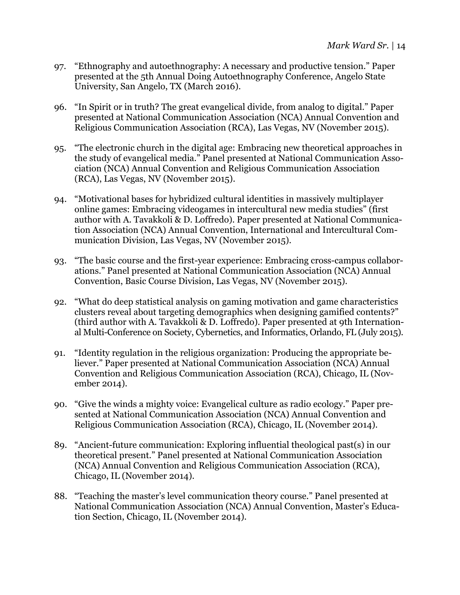- 97. "Ethnography and autoethnography: A necessary and productive tension." Paper presented at the 5th Annual Doing Autoethnography Conference, Angelo State University, San Angelo, TX (March 2016).
- 96. "In Spirit or in truth? The great evangelical divide, from analog to digital." Paper presented at National Communication Association (NCA) Annual Convention and Religious Communication Association (RCA), Las Vegas, NV (November 2015).
- 95. "The electronic church in the digital age: Embracing new theoretical approaches in the study of evangelical media." Panel presented at National Communication Association (NCA) Annual Convention and Religious Communication Association (RCA), Las Vegas, NV (November 2015).
- 94. "Motivational bases for hybridized cultural identities in massively multiplayer online games: Embracing videogames in intercultural new media studies" (first author with A. Tavakkoli & D. Loffredo). Paper presented at National Communication Association (NCA) Annual Convention, International and Intercultural Communication Division, Las Vegas, NV (November 2015).
- 93. "The basic course and the first-year experience: Embracing cross-campus collaborations." Panel presented at National Communication Association (NCA) Annual Convention, Basic Course Division, Las Vegas, NV (November 2015).
- 92. "What do deep statistical analysis on gaming motivation and game characteristics clusters reveal about targeting demographics when designing gamified contents?" (third author with A. Tavakkoli & D. Loffredo). Paper presented at 9th International Multi-Conference on Society, Cybernetics, and Informatics, Orlando, FL (July 2015).
- 91. "Identity regulation in the religious organization: Producing the appropriate believer." Paper presented at National Communication Association (NCA) Annual Convention and Religious Communication Association (RCA), Chicago, IL (November 2014).
- 90. "Give the winds a mighty voice: Evangelical culture as radio ecology." Paper presented at National Communication Association (NCA) Annual Convention and Religious Communication Association (RCA), Chicago, IL (November 2014).
- 89. "Ancient-future communication: Exploring influential theological past(s) in our theoretical present." Panel presented at National Communication Association (NCA) Annual Convention and Religious Communication Association (RCA), Chicago, IL (November 2014).
- 88. "Teaching the master's level communication theory course." Panel presented at National Communication Association (NCA) Annual Convention, Master's Education Section, Chicago, IL (November 2014).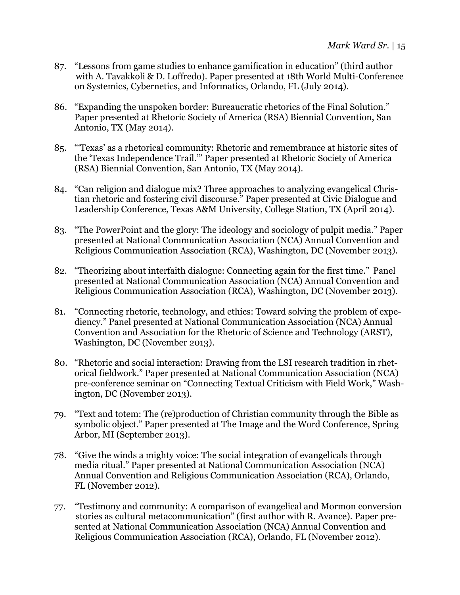- 87. "Lessons from game studies to enhance gamification in education" (third author with A. Tavakkoli & D. Loffredo). Paper presented at 18th World Multi-Conference on Systemics, Cybernetics, and Informatics, Orlando, FL (July 2014).
- 86. "Expanding the unspoken border: Bureaucratic rhetorics of the Final Solution." Paper presented at Rhetoric Society of America (RSA) Biennial Convention, San Antonio, TX (May 2014).
- 85. "'Texas' as a rhetorical community: Rhetoric and remembrance at historic sites of the 'Texas Independence Trail.'" Paper presented at Rhetoric Society of America (RSA) Biennial Convention, San Antonio, TX (May 2014).
- 84. "Can religion and dialogue mix? Three approaches to analyzing evangelical Christian rhetoric and fostering civil discourse." Paper presented at Civic Dialogue and Leadership Conference, Texas A&M University, College Station, TX (April 2014).
- 83. "The PowerPoint and the glory: The ideology and sociology of pulpit media." Paper presented at National Communication Association (NCA) Annual Convention and Religious Communication Association (RCA), Washington, DC (November 2013).
- 82. "Theorizing about interfaith dialogue: Connecting again for the first time." Panel presented at National Communication Association (NCA) Annual Convention and Religious Communication Association (RCA), Washington, DC (November 2013).
- 81. "Connecting rhetoric, technology, and ethics: Toward solving the problem of expediency." Panel presented at National Communication Association (NCA) Annual Convention and Association for the Rhetoric of Science and Technology (ARST), Washington, DC (November 2013).
- 80. "Rhetoric and social interaction: Drawing from the LSI research tradition in rhetorical fieldwork." Paper presented at National Communication Association (NCA) pre-conference seminar on "Connecting Textual Criticism with Field Work," Washington, DC (November 2013).
- 79. "Text and totem: The (re)production of Christian community through the Bible as symbolic object." Paper presented at The Image and the Word Conference, Spring Arbor, MI (September 2013).
- 78. "Give the winds a mighty voice: The social integration of evangelicals through media ritual." Paper presented at National Communication Association (NCA) Annual Convention and Religious Communication Association (RCA), Orlando, FL (November 2012).
- 77. "Testimony and community: A comparison of evangelical and Mormon conversion stories as cultural metacommunication" (first author with R. Avance). Paper presented at National Communication Association (NCA) Annual Convention and Religious Communication Association (RCA), Orlando, FL (November 2012).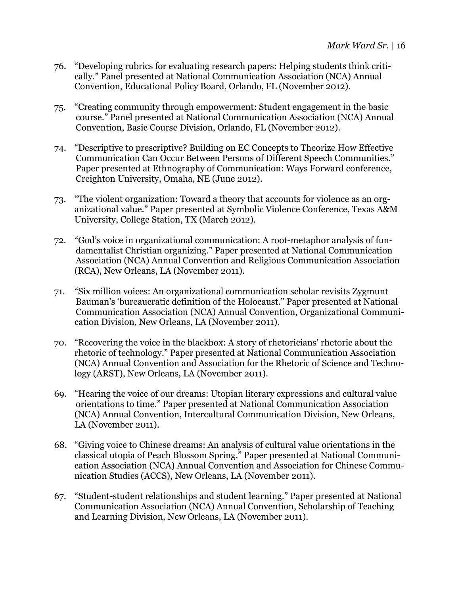- 76. "Developing rubrics for evaluating research papers: Helping students think critically." Panel presented at National Communication Association (NCA) Annual Convention, Educational Policy Board, Orlando, FL (November 2012).
- 75. "Creating community through empowerment: Student engagement in the basic course." Panel presented at National Communication Association (NCA) Annual Convention, Basic Course Division, Orlando, FL (November 2012).
- 74. "Descriptive to prescriptive? Building on EC Concepts to Theorize How Effective Communication Can Occur Between Persons of Different Speech Communities." Paper presented at Ethnography of Communication: Ways Forward conference, Creighton University, Omaha, NE (June 2012).
- 73. "The violent organization: Toward a theory that accounts for violence as an organizational value." Paper presented at Symbolic Violence Conference, Texas A&M University, College Station, TX (March 2012).
- 72. "God's voice in organizational communication: A root-metaphor analysis of fundamentalist Christian organizing." Paper presented at National Communication Association (NCA) Annual Convention and Religious Communication Association (RCA), New Orleans, LA (November 2011).
- 71. "Six million voices: An organizational communication scholar revisits Zygmunt Bauman's 'bureaucratic definition of the Holocaust." Paper presented at National Communication Association (NCA) Annual Convention, Organizational Communication Division, New Orleans, LA (November 2011).
- 70. "Recovering the voice in the blackbox: A story of rhetoricians' rhetoric about the rhetoric of technology." Paper presented at National Communication Association (NCA) Annual Convention and Association for the Rhetoric of Science and Technology (ARST), New Orleans, LA (November 2011).
- 69. "Hearing the voice of our dreams: Utopian literary expressions and cultural value orientations to time." Paper presented at National Communication Association (NCA) Annual Convention, Intercultural Communication Division, New Orleans, LA (November 2011).
- 68. "Giving voice to Chinese dreams: An analysis of cultural value orientations in the classical utopia of Peach Blossom Spring." Paper presented at National Communication Association (NCA) Annual Convention and Association for Chinese Communication Studies (ACCS), New Orleans, LA (November 2011).
- 67. "Student-student relationships and student learning." Paper presented at National Communication Association (NCA) Annual Convention, Scholarship of Teaching and Learning Division, New Orleans, LA (November 2011).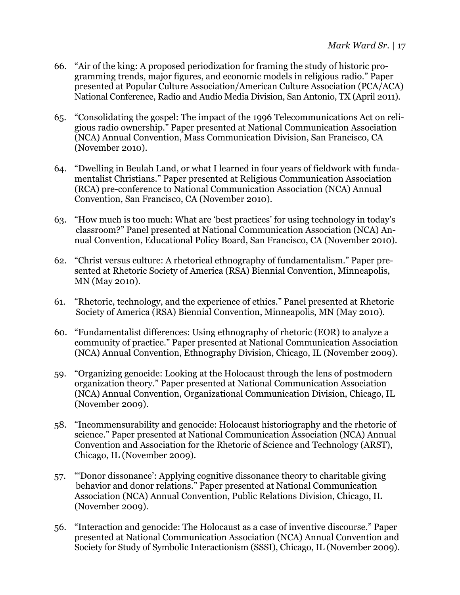- 66. "Air of the king: A proposed periodization for framing the study of historic programming trends, major figures, and economic models in religious radio." Paper presented at Popular Culture Association/American Culture Association (PCA/ACA) National Conference, Radio and Audio Media Division, San Antonio, TX (April 2011).
- 65. "Consolidating the gospel: The impact of the 1996 Telecommunications Act on religious radio ownership." Paper presented at National Communication Association (NCA) Annual Convention, Mass Communication Division, San Francisco, CA (November 2010).
- 64. "Dwelling in Beulah Land, or what I learned in four years of fieldwork with fundamentalist Christians." Paper presented at Religious Communication Association (RCA) pre-conference to National Communication Association (NCA) Annual Convention, San Francisco, CA (November 2010).
- 63. "How much is too much: What are 'best practices' for using technology in today's classroom?" Panel presented at National Communication Association (NCA) Annual Convention, Educational Policy Board, San Francisco, CA (November 2010).
- 62. "Christ versus culture: A rhetorical ethnography of fundamentalism." Paper presented at Rhetoric Society of America (RSA) Biennial Convention, Minneapolis, MN (May 2010).
- 61. "Rhetoric, technology, and the experience of ethics." Panel presented at Rhetoric Society of America (RSA) Biennial Convention, Minneapolis, MN (May 2010).
- 60. "Fundamentalist differences: Using ethnography of rhetoric (EOR) to analyze a community of practice." Paper presented at National Communication Association (NCA) Annual Convention, Ethnography Division, Chicago, IL (November 2009).
- 59. "Organizing genocide: Looking at the Holocaust through the lens of postmodern organization theory." Paper presented at National Communication Association (NCA) Annual Convention, Organizational Communication Division, Chicago, IL (November 2009).
- 58. "Incommensurability and genocide: Holocaust historiography and the rhetoric of science." Paper presented at National Communication Association (NCA) Annual Convention and Association for the Rhetoric of Science and Technology (ARST), Chicago, IL (November 2009).
- 57. "'Donor dissonance': Applying cognitive dissonance theory to charitable giving behavior and donor relations." Paper presented at National Communication Association (NCA) Annual Convention, Public Relations Division, Chicago, IL (November 2009).
- 56. "Interaction and genocide: The Holocaust as a case of inventive discourse." Paper presented at National Communication Association (NCA) Annual Convention and Society for Study of Symbolic Interactionism (SSSI), Chicago, IL (November 2009).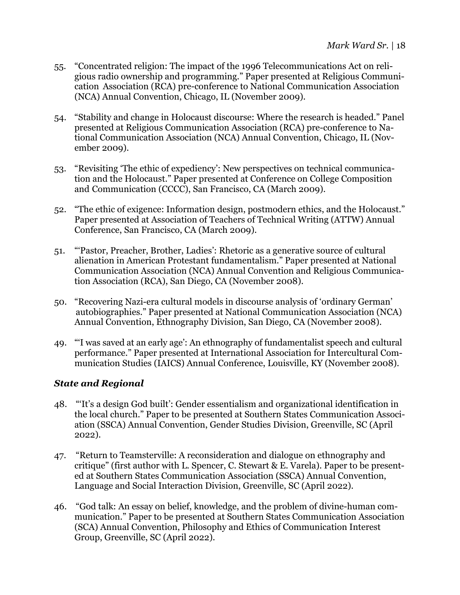- 55. "Concentrated religion: The impact of the 1996 Telecommunications Act on religious radio ownership and programming." Paper presented at Religious Communication Association (RCA) pre-conference to National Communication Association (NCA) Annual Convention, Chicago, IL (November 2009).
- 54. "Stability and change in Holocaust discourse: Where the research is headed." Panel presented at Religious Communication Association (RCA) pre-conference to National Communication Association (NCA) Annual Convention, Chicago, IL (November 2009).
- 53. "Revisiting 'The ethic of expediency': New perspectives on technical communication and the Holocaust." Paper presented at Conference on College Composition and Communication (CCCC), San Francisco, CA (March 2009).
- 52. "The ethic of exigence: Information design, postmodern ethics, and the Holocaust." Paper presented at Association of Teachers of Technical Writing (ATTW) Annual Conference, San Francisco, CA (March 2009).
- 51. "'Pastor, Preacher, Brother, Ladies': Rhetoric as a generative source of cultural alienation in American Protestant fundamentalism." Paper presented at National Communication Association (NCA) Annual Convention and Religious Communication Association (RCA), San Diego, CA (November 2008).
- 50. "Recovering Nazi-era cultural models in discourse analysis of 'ordinary German' autobiographies." Paper presented at National Communication Association (NCA) Annual Convention, Ethnography Division, San Diego, CA (November 2008).
- 49. "'I was saved at an early age': An ethnography of fundamentalist speech and cultural performance." Paper presented at International Association for Intercultural Communication Studies (IAICS) Annual Conference, Louisville, KY (November 2008).

### *State and Regional*

- 48. "'It's a design God built': Gender essentialism and organizational identification in the local church." Paper to be presented at Southern States Communication Association (SSCA) Annual Convention, Gender Studies Division, Greenville, SC (April 2022).
- 47. "Return to Teamsterville: A reconsideration and dialogue on ethnography and critique" (first author with L. Spencer, C. Stewart & E. Varela). Paper to be presented at Southern States Communication Association (SSCA) Annual Convention, Language and Social Interaction Division, Greenville, SC (April 2022).
- 46. "God talk: An essay on belief, knowledge, and the problem of divine-human communication." Paper to be presented at Southern States Communication Association (SCA) Annual Convention, Philosophy and Ethics of Communication Interest Group, Greenville, SC (April 2022).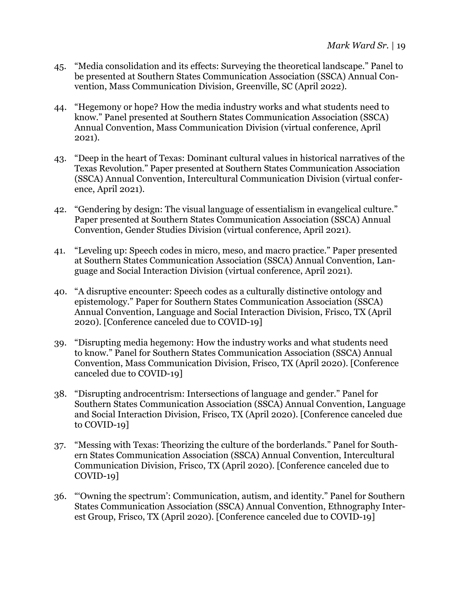- 45. "Media consolidation and its effects: Surveying the theoretical landscape." Panel to be presented at Southern States Communication Association (SSCA) Annual Convention, Mass Communication Division, Greenville, SC (April 2022).
- 44. "Hegemony or hope? How the media industry works and what students need to know." Panel presented at Southern States Communication Association (SSCA) Annual Convention, Mass Communication Division (virtual conference, April 2021).
- 43. "Deep in the heart of Texas: Dominant cultural values in historical narratives of the Texas Revolution." Paper presented at Southern States Communication Association (SSCA) Annual Convention, Intercultural Communication Division (virtual conference, April 2021).
- 42. "Gendering by design: The visual language of essentialism in evangelical culture." Paper presented at Southern States Communication Association (SSCA) Annual Convention, Gender Studies Division (virtual conference, April 2021).
- 41. "Leveling up: Speech codes in micro, meso, and macro practice." Paper presented at Southern States Communication Association (SSCA) Annual Convention, Language and Social Interaction Division (virtual conference, April 2021).
- 40. "A disruptive encounter: Speech codes as a culturally distinctive ontology and epistemology." Paper for Southern States Communication Association (SSCA) Annual Convention, Language and Social Interaction Division, Frisco, TX (April 2020). [Conference canceled due to COVID-19]
- 39. "Disrupting media hegemony: How the industry works and what students need to know." Panel for Southern States Communication Association (SSCA) Annual Convention, Mass Communication Division, Frisco, TX (April 2020). [Conference canceled due to COVID-19]
- 38. "Disrupting androcentrism: Intersections of language and gender." Panel for Southern States Communication Association (SSCA) Annual Convention, Language and Social Interaction Division, Frisco, TX (April 2020). [Conference canceled due to COVID-19]
- 37. "Messing with Texas: Theorizing the culture of the borderlands." Panel for Southern States Communication Association (SSCA) Annual Convention, Intercultural Communication Division, Frisco, TX (April 2020). [Conference canceled due to COVID-19]
- 36. "'Owning the spectrum': Communication, autism, and identity." Panel for Southern States Communication Association (SSCA) Annual Convention, Ethnography Interest Group, Frisco, TX (April 2020). [Conference canceled due to COVID-19]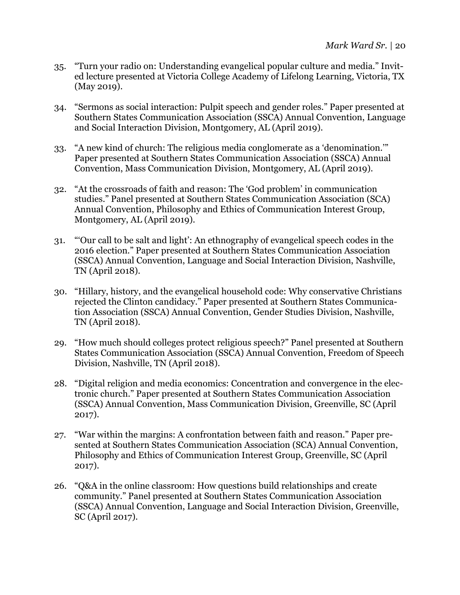- 35. "Turn your radio on: Understanding evangelical popular culture and media." Invited lecture presented at Victoria College Academy of Lifelong Learning, Victoria, TX (May 2019).
- 34. "Sermons as social interaction: Pulpit speech and gender roles." Paper presented at Southern States Communication Association (SSCA) Annual Convention, Language and Social Interaction Division, Montgomery, AL (April 2019).
- 33. "A new kind of church: The religious media conglomerate as a 'denomination.'" Paper presented at Southern States Communication Association (SSCA) Annual Convention, Mass Communication Division, Montgomery, AL (April 2019).
- 32. "At the crossroads of faith and reason: The 'God problem' in communication studies." Panel presented at Southern States Communication Association (SCA) Annual Convention, Philosophy and Ethics of Communication Interest Group, Montgomery, AL (April 2019).
- 31. "'Our call to be salt and light': An ethnography of evangelical speech codes in the 2016 election." Paper presented at Southern States Communication Association (SSCA) Annual Convention, Language and Social Interaction Division, Nashville, TN (April 2018).
- 30. "Hillary, history, and the evangelical household code: Why conservative Christians rejected the Clinton candidacy." Paper presented at Southern States Communication Association (SSCA) Annual Convention, Gender Studies Division, Nashville, TN (April 2018).
- 29. "How much should colleges protect religious speech?" Panel presented at Southern States Communication Association (SSCA) Annual Convention, Freedom of Speech Division, Nashville, TN (April 2018).
- 28. "Digital religion and media economics: Concentration and convergence in the electronic church." Paper presented at Southern States Communication Association (SSCA) Annual Convention, Mass Communication Division, Greenville, SC (April 2017).
- 27. "War within the margins: A confrontation between faith and reason." Paper presented at Southern States Communication Association (SCA) Annual Convention, Philosophy and Ethics of Communication Interest Group, Greenville, SC (April 2017).
- 26. "Q&A in the online classroom: How questions build relationships and create community." Panel presented at Southern States Communication Association (SSCA) Annual Convention, Language and Social Interaction Division, Greenville, SC (April 2017).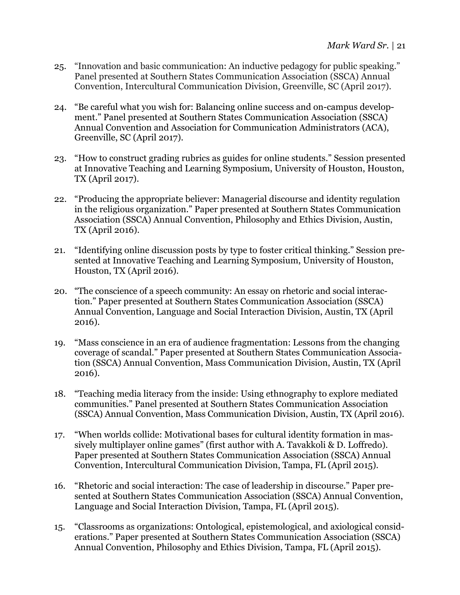- 25. "Innovation and basic communication: An inductive pedagogy for public speaking." Panel presented at Southern States Communication Association (SSCA) Annual Convention, Intercultural Communication Division, Greenville, SC (April 2017).
- 24. "Be careful what you wish for: Balancing online success and on-campus development." Panel presented at Southern States Communication Association (SSCA) Annual Convention and Association for Communication Administrators (ACA), Greenville, SC (April 2017).
- 23. "How to construct grading rubrics as guides for online students." Session presented at Innovative Teaching and Learning Symposium, University of Houston, Houston, TX (April 2017).
- 22. "Producing the appropriate believer: Managerial discourse and identity regulation in the religious organization." Paper presented at Southern States Communication Association (SSCA) Annual Convention, Philosophy and Ethics Division, Austin, TX (April 2016).
- 21. "Identifying online discussion posts by type to foster critical thinking." Session presented at Innovative Teaching and Learning Symposium, University of Houston, Houston, TX (April 2016).
- 20. "The conscience of a speech community: An essay on rhetoric and social interaction." Paper presented at Southern States Communication Association (SSCA) Annual Convention, Language and Social Interaction Division, Austin, TX (April 2016).
- 19. "Mass conscience in an era of audience fragmentation: Lessons from the changing coverage of scandal." Paper presented at Southern States Communication Association (SSCA) Annual Convention, Mass Communication Division, Austin, TX (April 2016).
- 18. "Teaching media literacy from the inside: Using ethnography to explore mediated communities." Panel presented at Southern States Communication Association (SSCA) Annual Convention, Mass Communication Division, Austin, TX (April 2016).
- 17. "When worlds collide: Motivational bases for cultural identity formation in massively multiplayer online games" (first author with A. Tavakkoli & D. Loffredo). Paper presented at Southern States Communication Association (SSCA) Annual Convention, Intercultural Communication Division, Tampa, FL (April 2015).
- 16. "Rhetoric and social interaction: The case of leadership in discourse." Paper presented at Southern States Communication Association (SSCA) Annual Convention, Language and Social Interaction Division, Tampa, FL (April 2015).
- 15. "Classrooms as organizations: Ontological, epistemological, and axiological considerations." Paper presented at Southern States Communication Association (SSCA) Annual Convention, Philosophy and Ethics Division, Tampa, FL (April 2015).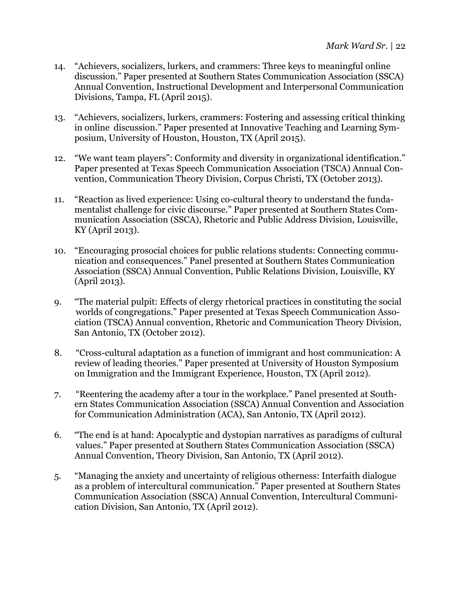- 14. "Achievers, socializers, lurkers, and crammers: Three keys to meaningful online discussion." Paper presented at Southern States Communication Association (SSCA) Annual Convention, Instructional Development and Interpersonal Communication Divisions, Tampa, FL (April 2015).
- 13. "Achievers, socializers, lurkers, crammers: Fostering and assessing critical thinking in online discussion." Paper presented at Innovative Teaching and Learning Symposium, University of Houston, Houston, TX (April 2015).
- 12. "We want team players": Conformity and diversity in organizational identification." Paper presented at Texas Speech Communication Association (TSCA) Annual Convention, Communication Theory Division, Corpus Christi, TX (October 2013).
- 11. "Reaction as lived experience: Using co-cultural theory to understand the fundamentalist challenge for civic discourse." Paper presented at Southern States Communication Association (SSCA), Rhetoric and Public Address Division, Louisville, KY (April 2013).
- 10. "Encouraging prosocial choices for public relations students: Connecting communication and consequences." Panel presented at Southern States Communication Association (SSCA) Annual Convention, Public Relations Division, Louisville, KY (April 2013).
- 9. "The material pulpit: Effects of clergy rhetorical practices in constituting the social worlds of congregations." Paper presented at Texas Speech Communication Association (TSCA) Annual convention, Rhetoric and Communication Theory Division, San Antonio, TX (October 2012).
- 8. "Cross-cultural adaptation as a function of immigrant and host communication: A review of leading theories." Paper presented at University of Houston Symposium on Immigration and the Immigrant Experience, Houston, TX (April 2012).
- 7. "Reentering the academy after a tour in the workplace." Panel presented at Southern States Communication Association (SSCA) Annual Convention and Association for Communication Administration (ACA), San Antonio, TX (April 2012).
- 6. "The end is at hand: Apocalyptic and dystopian narratives as paradigms of cultural values." Paper presented at Southern States Communication Association (SSCA) Annual Convention, Theory Division, San Antonio, TX (April 2012).
- 5. "Managing the anxiety and uncertainty of religious otherness: Interfaith dialogue as a problem of intercultural communication." Paper presented at Southern States Communication Association (SSCA) Annual Convention, Intercultural Communication Division, San Antonio, TX (April 2012).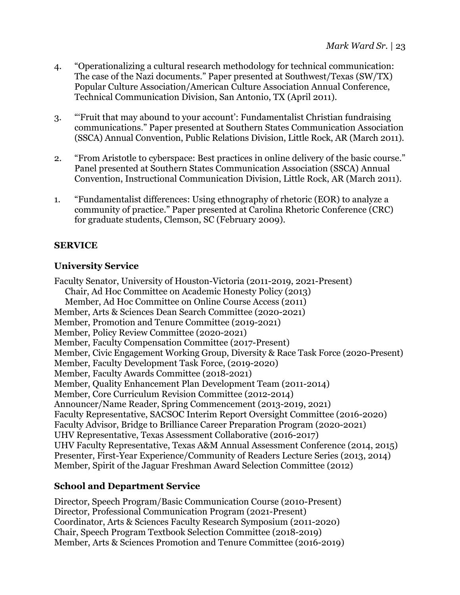- 4. "Operationalizing a cultural research methodology for technical communication: The case of the Nazi documents." Paper presented at Southwest/Texas (SW/TX) Popular Culture Association/American Culture Association Annual Conference, Technical Communication Division, San Antonio, TX (April 2011).
- 3. "'Fruit that may abound to your account': Fundamentalist Christian fundraising communications." Paper presented at Southern States Communication Association (SSCA) Annual Convention, Public Relations Division, Little Rock, AR (March 2011).
- 2. "From Aristotle to cyberspace: Best practices in online delivery of the basic course." Panel presented at Southern States Communication Association (SSCA) Annual Convention, Instructional Communication Division, Little Rock, AR (March 2011).
- 1. "Fundamentalist differences: Using ethnography of rhetoric (EOR) to analyze a community of practice." Paper presented at Carolina Rhetoric Conference (CRC) for graduate students, Clemson, SC (February 2009).

## **SERVICE**

# **University Service**

Faculty Senator, University of Houston-Victoria (2011-2019, 2021-Present) Chair, Ad Hoc Committee on Academic Honesty Policy (2013) Member, Ad Hoc Committee on Online Course Access (2011) Member, Arts & Sciences Dean Search Committee (2020-2021) Member, Promotion and Tenure Committee (2019-2021) Member, Policy Review Committee (2020-2021) Member, Faculty Compensation Committee (2017-Present) Member, Civic Engagement Working Group, Diversity & Race Task Force (2020-Present) Member, Faculty Development Task Force, (2019-2020) Member, Faculty Awards Committee (2018-2021) Member, Quality Enhancement Plan Development Team (2011-2014) Member, Core Curriculum Revision Committee (2012-2014) Announcer/Name Reader, Spring Commencement (2013-2019, 2021) Faculty Representative, SACSOC Interim Report Oversight Committee (2016-2020) Faculty Advisor, Bridge to Brilliance Career Preparation Program (2020-2021) UHV Representative, Texas Assessment Collaborative (2016-2017) UHV Faculty Representative, Texas A&M Annual Assessment Conference (2014, 2015) Presenter, First-Year Experience/Community of Readers Lecture Series (2013, 2014) Member, Spirit of the Jaguar Freshman Award Selection Committee (2012)

## **School and Department Service**

Director, Speech Program/Basic Communication Course (2010-Present) Director, Professional Communication Program (2021-Present) Coordinator, Arts & Sciences Faculty Research Symposium (2011-2020) Chair, Speech Program Textbook Selection Committee (2018-2019) Member, Arts & Sciences Promotion and Tenure Committee (2016-2019)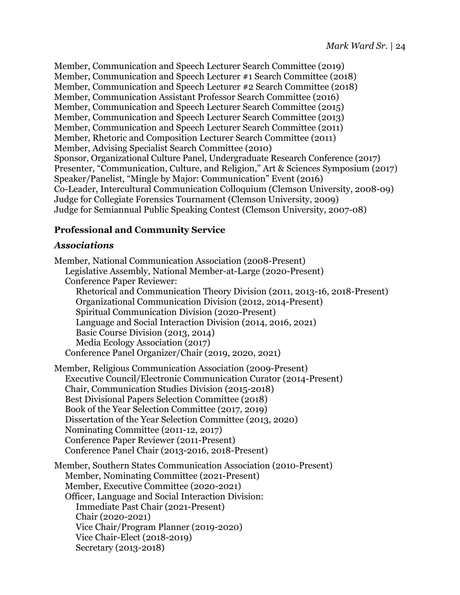Member, Communication and Speech Lecturer Search Committee (2019) Member, Communication and Speech Lecturer #1 Search Committee (2018) Member, Communication and Speech Lecturer #2 Search Committee (2018) Member, Communication Assistant Professor Search Committee (2016) Member, Communication and Speech Lecturer Search Committee (2015) Member, Communication and Speech Lecturer Search Committee (2013) Member, Communication and Speech Lecturer Search Committee (2011) Member, Rhetoric and Composition Lecturer Search Committee (2011) Member, Advising Specialist Search Committee (2010) Sponsor, Organizational Culture Panel, Undergraduate Research Conference (2017) Presenter, "Communication, Culture, and Religion," Art & Sciences Symposium (2017) Speaker/Panelist, "Mingle by Major: Communication" Event (2016) Co-Leader, Intercultural Communication Colloquium (Clemson University, 2008-09) Judge for Collegiate Forensics Tournament (Clemson University, 2009) Judge for Semiannual Public Speaking Contest (Clemson University, 2007-08)

## **Professional and Community Service**

### *Associations*

Member, National Communication Association (2008-Present) Legislative Assembly, National Member-at-Large (2020-Present) Conference Paper Reviewer: Rhetorical and Communication Theory Division (2011, 2013-16, 2018-Present) Organizational Communication Division (2012, 2014-Present) Spiritual Communication Division (2020-Present) Language and Social Interaction Division (2014, 2016, 2021) Basic Course Division (2013, 2014) Media Ecology Association (2017) Conference Panel Organizer/Chair (2019, 2020, 2021)

Member, Religious Communication Association (2009-Present) Executive Council/Electronic Communication Curator (2014-Present) Chair, Communication Studies Division (2015-2018) Best Divisional Papers Selection Committee (2018) Book of the Year Selection Committee (2017, 2019) Dissertation of the Year Selection Committee (2013, 2020) Nominating Committee (2011-12, 2017) Conference Paper Reviewer (2011-Present) Conference Panel Chair (2013-2016, 2018-Present)

Member, Southern States Communication Association (2010-Present) Member, Nominating Committee (2021-Present) Member, Executive Committee (2020-2021) Officer, Language and Social Interaction Division: Immediate Past Chair (2021-Present) Chair (2020-2021) Vice Chair/Program Planner (2019-2020) Vice Chair-Elect (2018-2019) Secretary (2013-2018)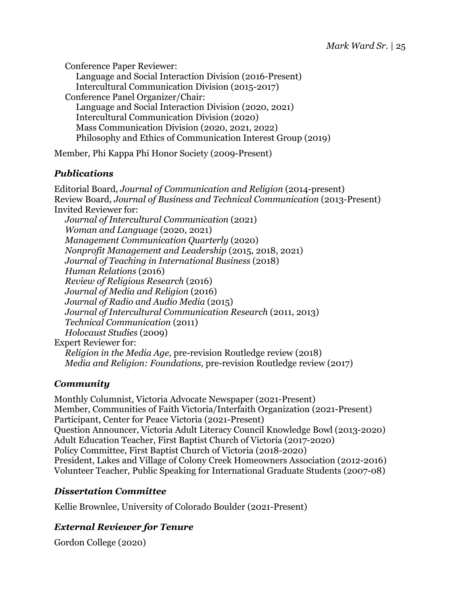Conference Paper Reviewer: Language and Social Interaction Division (2016-Present) Intercultural Communication Division (2015-2017) Conference Panel Organizer/Chair: Language and Social Interaction Division (2020, 2021) Intercultural Communication Division (2020) Mass Communication Division (2020, 2021, 2022) Philosophy and Ethics of Communication Interest Group (2019)

Member, Phi Kappa Phi Honor Society (2009-Present)

# *Publications*

Editorial Board, *Journal of Communication and Religion* (2014-present) Review Board, *Journal of Business and Technical Communication* (2013-Present) Invited Reviewer for: *Journal of Intercultural Communication* (2021) *Woman and Language* (2020, 2021) *Management Communication Quarterly* (2020) *Nonprofit Management and Leadership* (2015, 2018, 2021) *Journal of Teaching in International Business* (2018) *Human Relations* (2016) *Review of Religious Research* (2016) *Journal of Media and Religion* (2016) *Journal of Radio and Audio Media* (2015) *Journal of Intercultural Communication Research* (2011, 2013) *Technical Communication* (2011) *Holocaust Studies* (2009) Expert Reviewer for: *Religion in the Media Age,* pre-revision Routledge review (2018) *Media and Religion: Foundations,* pre-revision Routledge review (2017)

# *Community*

Monthly Columnist, Victoria Advocate Newspaper (2021-Present) Member, Communities of Faith Victoria/Interfaith Organization (2021-Present) Participant, Center for Peace Victoria (2021-Present) Question Announcer, Victoria Adult Literacy Council Knowledge Bowl (2013-2020) Adult Education Teacher, First Baptist Church of Victoria (2017-2020) Policy Committee, First Baptist Church of Victoria (2018-2020) President, Lakes and Village of Colony Creek Homeowners Association (2012-2016) Volunteer Teacher, Public Speaking for International Graduate Students (2007-08)

## *Dissertation Committee*

Kellie Brownlee, University of Colorado Boulder (2021-Present)

# *External Reviewer for Tenure*

Gordon College (2020)